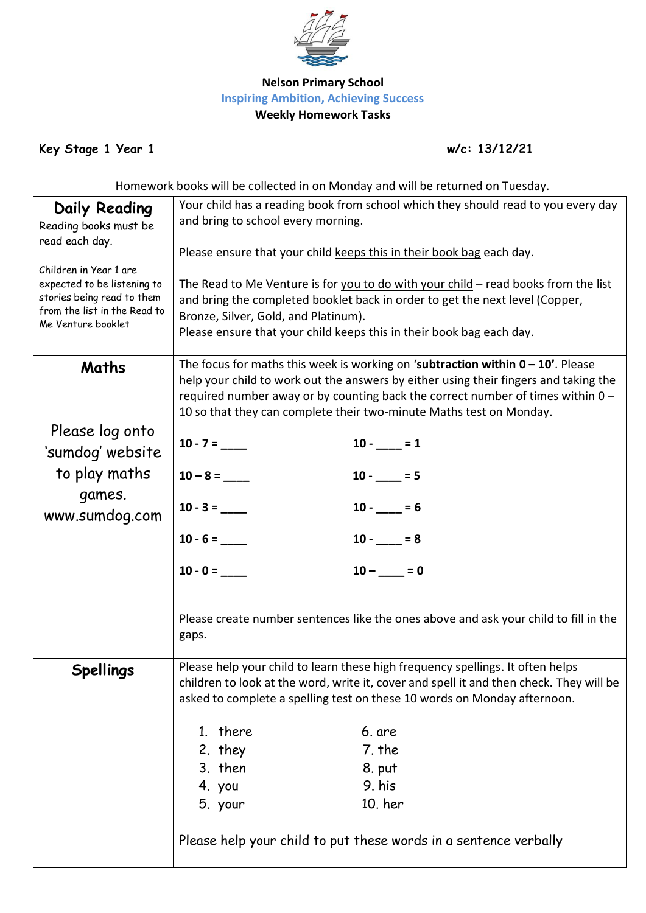

## **Nelson Primary School Inspiring Ambition, Achieving Success Weekly Homework Tasks**

**Key Stage 1 Year 1 w/c: 13/12/21**

Homework books will be collected in on Monday and will be returned on Tuesday.

| <b>Daily Reading</b>                                       | Your child has a reading book from school which they should read to you every day                                                                                                                                                                |                |  |  |
|------------------------------------------------------------|--------------------------------------------------------------------------------------------------------------------------------------------------------------------------------------------------------------------------------------------------|----------------|--|--|
| Reading books must be                                      | and bring to school every morning.                                                                                                                                                                                                               |                |  |  |
| read each day.                                             |                                                                                                                                                                                                                                                  |                |  |  |
|                                                            | Please ensure that your child keeps this in their book bag each day.                                                                                                                                                                             |                |  |  |
| Children in Year 1 are                                     |                                                                                                                                                                                                                                                  |                |  |  |
| expected to be listening to                                | The Read to Me Venture is for you to do with your child $-$ read books from the list                                                                                                                                                             |                |  |  |
| stories being read to them<br>from the list in the Read to | and bring the completed booklet back in order to get the next level (Copper,                                                                                                                                                                     |                |  |  |
| Me Venture booklet                                         | Bronze, Silver, Gold, and Platinum).                                                                                                                                                                                                             |                |  |  |
|                                                            | Please ensure that your child keeps this in their book bag each day.                                                                                                                                                                             |                |  |  |
|                                                            | The focus for maths this week is working on 'subtraction within $0 - 10'$ . Please                                                                                                                                                               |                |  |  |
| Maths                                                      | help your child to work out the answers by either using their fingers and taking the<br>required number away or by counting back the correct number of times within $0 -$<br>10 so that they can complete their two-minute Maths test on Monday. |                |  |  |
|                                                            |                                                                                                                                                                                                                                                  |                |  |  |
|                                                            |                                                                                                                                                                                                                                                  |                |  |  |
| Please log onto                                            |                                                                                                                                                                                                                                                  |                |  |  |
| 'sumdog' website                                           | $10 - 7 =$                                                                                                                                                                                                                                       | $10 -$ = $1$   |  |  |
|                                                            |                                                                                                                                                                                                                                                  |                |  |  |
| to play maths                                              |                                                                                                                                                                                                                                                  | $10 - 5$       |  |  |
| games.                                                     | $10 - 3 =$                                                                                                                                                                                                                                       | $10 -$ = $= 6$ |  |  |
| www.sumdog.com                                             |                                                                                                                                                                                                                                                  |                |  |  |
|                                                            | $10 - 6 =$                                                                                                                                                                                                                                       | $10 - 8$       |  |  |
|                                                            |                                                                                                                                                                                                                                                  |                |  |  |
|                                                            | $10 - 0 =$                                                                                                                                                                                                                                       | $10 -$ = 0     |  |  |
|                                                            |                                                                                                                                                                                                                                                  |                |  |  |
|                                                            |                                                                                                                                                                                                                                                  |                |  |  |
|                                                            | Please create number sentences like the ones above and ask your child to fill in the<br>gaps.                                                                                                                                                    |                |  |  |
|                                                            |                                                                                                                                                                                                                                                  |                |  |  |
| <b>Spellings</b>                                           | Please help your child to learn these high frequency spellings. It often helps                                                                                                                                                                   |                |  |  |
|                                                            | children to look at the word, write it, cover and spell it and then check. They will be                                                                                                                                                          |                |  |  |
|                                                            | asked to complete a spelling test on these 10 words on Monday afternoon.                                                                                                                                                                         |                |  |  |
|                                                            |                                                                                                                                                                                                                                                  |                |  |  |
|                                                            | 1. there                                                                                                                                                                                                                                         | 6. are         |  |  |
|                                                            | 2. they                                                                                                                                                                                                                                          | 7. the         |  |  |
|                                                            | 3. then                                                                                                                                                                                                                                          | 8. put         |  |  |
|                                                            | 4. you                                                                                                                                                                                                                                           | 9. his         |  |  |
|                                                            | 5. your                                                                                                                                                                                                                                          | 10. her        |  |  |
|                                                            |                                                                                                                                                                                                                                                  |                |  |  |
|                                                            | Please help your child to put these words in a sentence verbally                                                                                                                                                                                 |                |  |  |
|                                                            |                                                                                                                                                                                                                                                  |                |  |  |